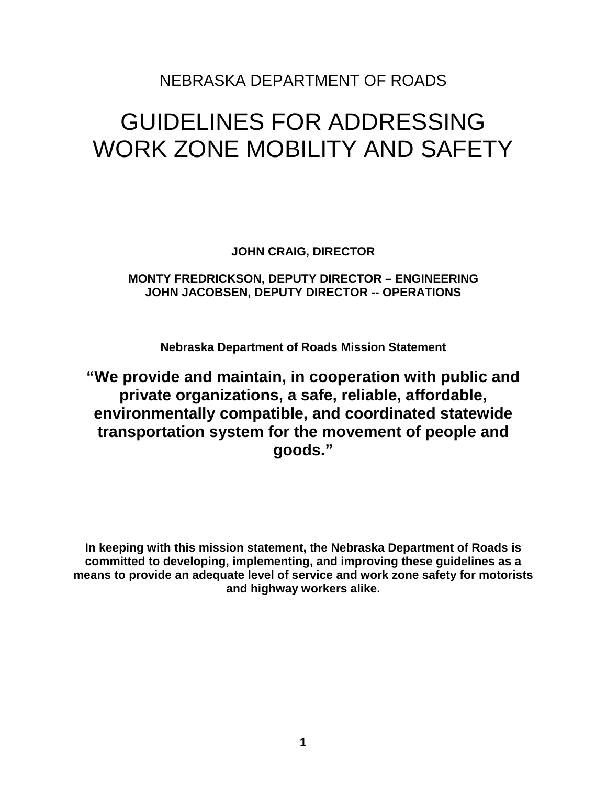## NEBRASKA DEPARTMENT OF ROADS

# GUIDELINES FOR ADDRESSING WORK ZONE MOBILITY AND SAFETY

**JOHN CRAIG, DIRECTOR** 

## **MONTY FREDRICKSON, DEPUTY DIRECTOR – ENGINEERING JOHN JACOBSEN, DEPUTY DIRECTOR -- OPERATIONS**

**Nebraska Department of Roads Mission Statement** 

**"We provide and maintain, in cooperation with public and private organizations, a safe, reliable, affordable, environmentally compatible, and coordinated statewide transportation system for the movement of people and goods."** 

**In keeping with this mission statement, the Nebraska Department of Roads is committed to developing, implementing, and improving these guidelines as a means to provide an adequate level of service and work zone safety for motorists and highway workers alike.**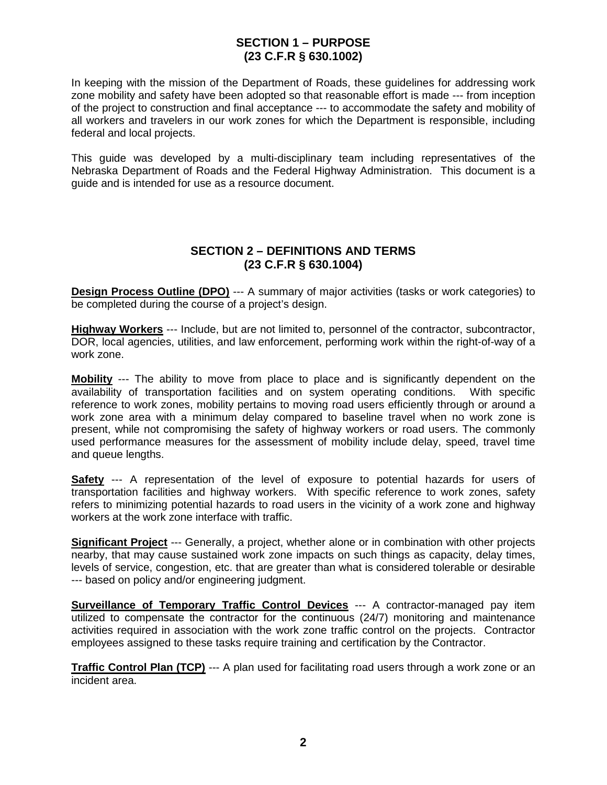## **SECTION 1 – PURPOSE (23 C.F.R § 630.1002)**

In keeping with the mission of the Department of Roads, these guidelines for addressing work zone mobility and safety have been adopted so that reasonable effort is made --- from inception of the project to construction and final acceptance --- to accommodate the safety and mobility of all workers and travelers in our work zones for which the Department is responsible, including federal and local projects.

This guide was developed by a multi-disciplinary team including representatives of the Nebraska Department of Roads and the Federal Highway Administration. This document is a guide and is intended for use as a resource document.

## **SECTION 2 – DEFINITIONS AND TERMS (23 C.F.R § 630.1004)**

**Design Process Outline (DPO)** --- A summary of major activities (tasks or work categories) to be completed during the course of a project's design.

**Highway Workers** --- Include, but are not limited to, personnel of the contractor, subcontractor, DOR, local agencies, utilities, and law enforcement, performing work within the right-of-way of a work zone.

**Mobility** --- The ability to move from place to place and is significantly dependent on the availability of transportation facilities and on system operating conditions. With specific reference to work zones, mobility pertains to moving road users efficiently through or around a work zone area with a minimum delay compared to baseline travel when no work zone is present, while not compromising the safety of highway workers or road users. The commonly used performance measures for the assessment of mobility include delay, speed, travel time and queue lengths.

**Safety** --- A representation of the level of exposure to potential hazards for users of transportation facilities and highway workers. With specific reference to work zones, safety refers to minimizing potential hazards to road users in the vicinity of a work zone and highway workers at the work zone interface with traffic.

**Significant Project** --- Generally, a project, whether alone or in combination with other projects nearby, that may cause sustained work zone impacts on such things as capacity, delay times, levels of service, congestion, etc. that are greater than what is considered tolerable or desirable --- based on policy and/or engineering judgment.

**Surveillance of Temporary Traffic Control Devices** --- A contractor-managed pay item utilized to compensate the contractor for the continuous (24/7) monitoring and maintenance activities required in association with the work zone traffic control on the projects. Contractor employees assigned to these tasks require training and certification by the Contractor.

**Traffic Control Plan (TCP)** --- A plan used for facilitating road users through a work zone or an incident area.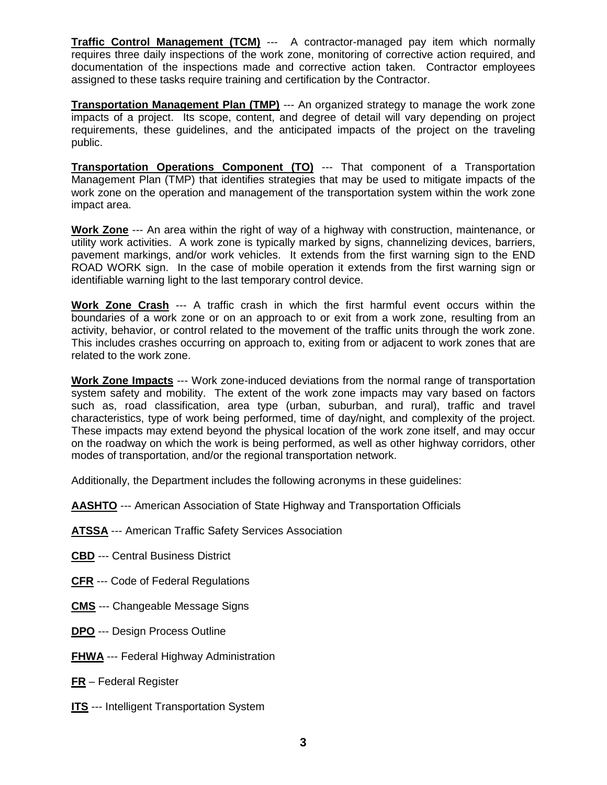**Traffic Control Management (TCM)** --- A contractor-managed pay item which normally requires three daily inspections of the work zone, monitoring of corrective action required, and documentation of the inspections made and corrective action taken. Contractor employees assigned to these tasks require training and certification by the Contractor.

**Transportation Management Plan (TMP)** --- An organized strategy to manage the work zone impacts of a project. Its scope, content, and degree of detail will vary depending on project requirements, these guidelines, and the anticipated impacts of the project on the traveling public.

**Transportation Operations Component (TO)** --- That component of a Transportation Management Plan (TMP) that identifies strategies that may be used to mitigate impacts of the work zone on the operation and management of the transportation system within the work zone impact area.

**Work Zone** --- An area within the right of way of a highway with construction, maintenance, or utility work activities. A work zone is typically marked by signs, channelizing devices, barriers, pavement markings, and/or work vehicles. It extends from the first warning sign to the END ROAD WORK sign. In the case of mobile operation it extends from the first warning sign or identifiable warning light to the last temporary control device.

**Work Zone Crash** --- A traffic crash in which the first harmful event occurs within the boundaries of a work zone or on an approach to or exit from a work zone, resulting from an activity, behavior, or control related to the movement of the traffic units through the work zone. This includes crashes occurring on approach to, exiting from or adjacent to work zones that are related to the work zone.

**Work Zone Impacts** --- Work zone-induced deviations from the normal range of transportation system safety and mobility. The extent of the work zone impacts may vary based on factors such as, road classification, area type (urban, suburban, and rural), traffic and travel characteristics, type of work being performed, time of day/night, and complexity of the project. These impacts may extend beyond the physical location of the work zone itself, and may occur on the roadway on which the work is being performed, as well as other highway corridors, other modes of transportation, and/or the regional transportation network.

Additionally, the Department includes the following acronyms in these guidelines:

**AASHTO** --- American Association of State Highway and Transportation Officials

- **ATSSA** --- American Traffic Safety Services Association
- **CBD** --- Central Business District
- **CFR** --- Code of Federal Regulations
- **CMS** --- Changeable Message Signs
- **DPO** --- Design Process Outline
- **FHWA** --- Federal Highway Administration
- **FR** Federal Register
- **ITS** --- Intelligent Transportation System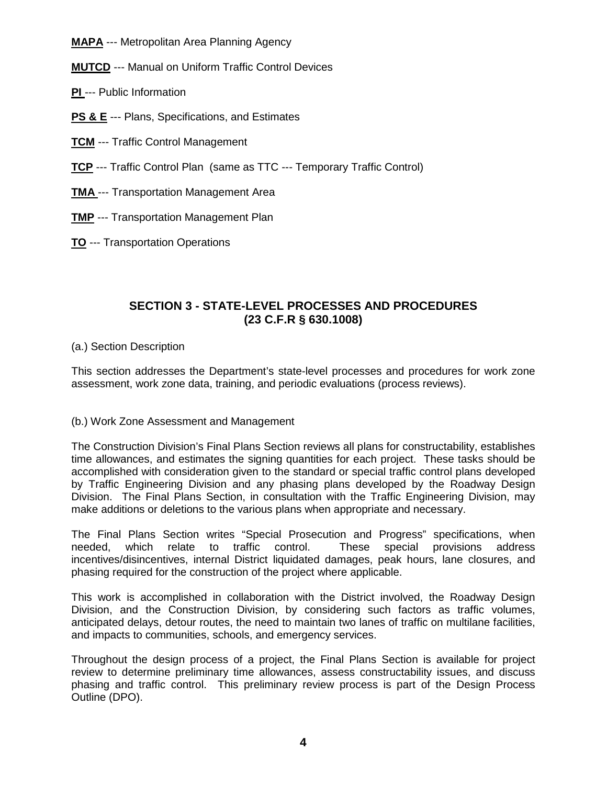**MAPA** --- Metropolitan Area Planning Agency

**MUTCD** --- Manual on Uniform Traffic Control Devices

- **PI** --- Public Information
- **PS & E** --- Plans, Specifications, and Estimates
- **TCM** --- Traffic Control Management
- **TCP** --- Traffic Control Plan (same as TTC --- Temporary Traffic Control)
- **TMA** --- Transportation Management Area
- **TMP** --- Transportation Management Plan
- **TO** --- Transportation Operations

## **SECTION 3 - STATE-LEVEL PROCESSES AND PROCEDURES (23 C.F.R § 630.1008)**

## (a.) Section Description

This section addresses the Department's state-level processes and procedures for work zone assessment, work zone data, training, and periodic evaluations (process reviews).

## (b.) Work Zone Assessment and Management

The Construction Division's Final Plans Section reviews all plans for constructability, establishes time allowances, and estimates the signing quantities for each project. These tasks should be accomplished with consideration given to the standard or special traffic control plans developed by Traffic Engineering Division and any phasing plans developed by the Roadway Design Division. The Final Plans Section, in consultation with the Traffic Engineering Division, may make additions or deletions to the various plans when appropriate and necessary.

The Final Plans Section writes "Special Prosecution and Progress" specifications, when needed, which relate to traffic control. These special provisions address incentives/disincentives, internal District liquidated damages, peak hours, lane closures, and phasing required for the construction of the project where applicable.

This work is accomplished in collaboration with the District involved, the Roadway Design Division, and the Construction Division, by considering such factors as traffic volumes, anticipated delays, detour routes, the need to maintain two lanes of traffic on multilane facilities, and impacts to communities, schools, and emergency services.

Throughout the design process of a project, the Final Plans Section is available for project review to determine preliminary time allowances, assess constructability issues, and discuss phasing and traffic control. This preliminary review process is part of the Design Process Outline (DPO).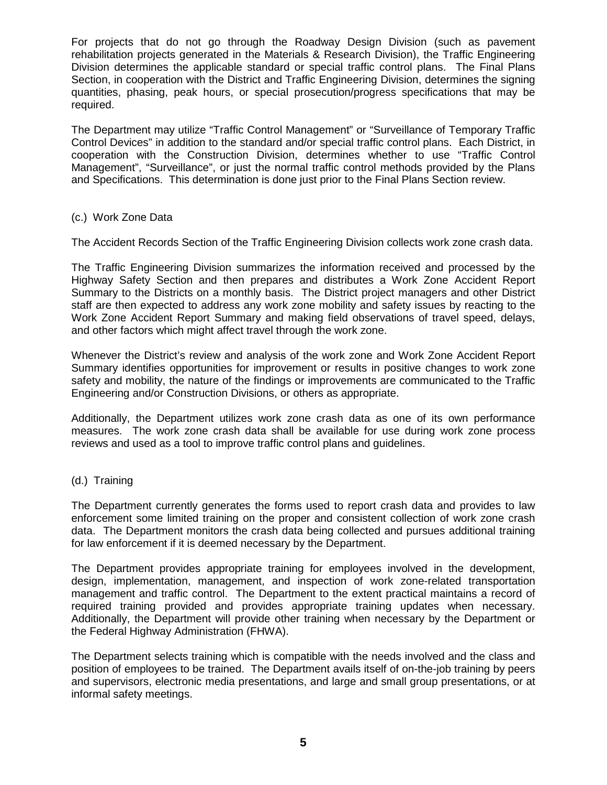For projects that do not go through the Roadway Design Division (such as pavement rehabilitation projects generated in the Materials & Research Division), the Traffic Engineering Division determines the applicable standard or special traffic control plans. The Final Plans Section, in cooperation with the District and Traffic Engineering Division, determines the signing quantities, phasing, peak hours, or special prosecution/progress specifications that may be required.

The Department may utilize "Traffic Control Management" or "Surveillance of Temporary Traffic Control Devices" in addition to the standard and/or special traffic control plans. Each District, in cooperation with the Construction Division, determines whether to use "Traffic Control Management", "Surveillance", or just the normal traffic control methods provided by the Plans and Specifications. This determination is done just prior to the Final Plans Section review.

#### (c.) Work Zone Data

The Accident Records Section of the Traffic Engineering Division collects work zone crash data.

The Traffic Engineering Division summarizes the information received and processed by the Highway Safety Section and then prepares and distributes a Work Zone Accident Report Summary to the Districts on a monthly basis. The District project managers and other District staff are then expected to address any work zone mobility and safety issues by reacting to the Work Zone Accident Report Summary and making field observations of travel speed, delays, and other factors which might affect travel through the work zone.

Whenever the District's review and analysis of the work zone and Work Zone Accident Report Summary identifies opportunities for improvement or results in positive changes to work zone safety and mobility, the nature of the findings or improvements are communicated to the Traffic Engineering and/or Construction Divisions, or others as appropriate.

Additionally, the Department utilizes work zone crash data as one of its own performance measures. The work zone crash data shall be available for use during work zone process reviews and used as a tool to improve traffic control plans and guidelines.

### (d.) Training

The Department currently generates the forms used to report crash data and provides to law enforcement some limited training on the proper and consistent collection of work zone crash data. The Department monitors the crash data being collected and pursues additional training for law enforcement if it is deemed necessary by the Department.

The Department provides appropriate training for employees involved in the development, design, implementation, management, and inspection of work zone-related transportation management and traffic control. The Department to the extent practical maintains a record of required training provided and provides appropriate training updates when necessary. Additionally, the Department will provide other training when necessary by the Department or the Federal Highway Administration (FHWA).

The Department selects training which is compatible with the needs involved and the class and position of employees to be trained. The Department avails itself of on-the-job training by peers and supervisors, electronic media presentations, and large and small group presentations, or at informal safety meetings.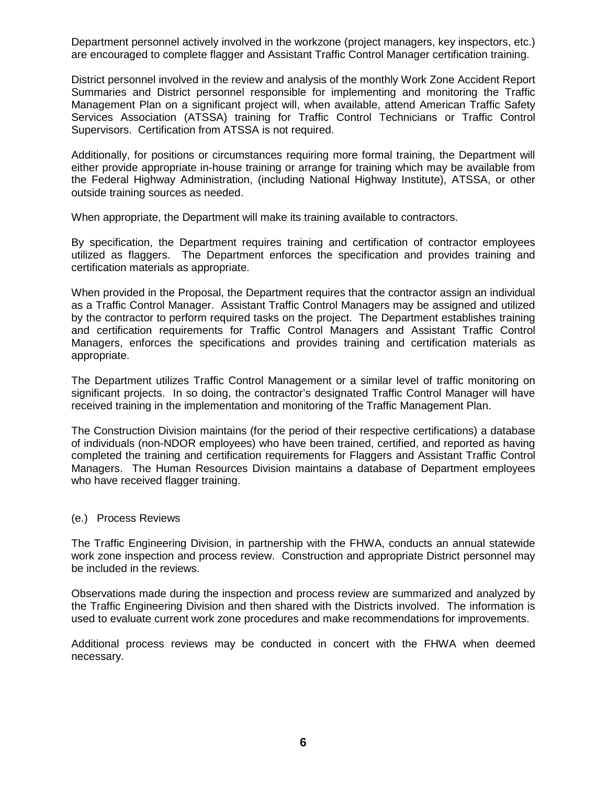Department personnel actively involved in the workzone (project managers, key inspectors, etc.) are encouraged to complete flagger and Assistant Traffic Control Manager certification training.

District personnel involved in the review and analysis of the monthly Work Zone Accident Report Summaries and District personnel responsible for implementing and monitoring the Traffic Management Plan on a significant project will, when available, attend American Traffic Safety Services Association (ATSSA) training for Traffic Control Technicians or Traffic Control Supervisors. Certification from ATSSA is not required.

Additionally, for positions or circumstances requiring more formal training, the Department will either provide appropriate in-house training or arrange for training which may be available from the Federal Highway Administration, (including National Highway Institute), ATSSA, or other outside training sources as needed.

When appropriate, the Department will make its training available to contractors.

By specification, the Department requires training and certification of contractor employees utilized as flaggers. The Department enforces the specification and provides training and certification materials as appropriate.

When provided in the Proposal, the Department requires that the contractor assign an individual as a Traffic Control Manager. Assistant Traffic Control Managers may be assigned and utilized by the contractor to perform required tasks on the project. The Department establishes training and certification requirements for Traffic Control Managers and Assistant Traffic Control Managers, enforces the specifications and provides training and certification materials as appropriate.

The Department utilizes Traffic Control Management or a similar level of traffic monitoring on significant projects. In so doing, the contractor's designated Traffic Control Manager will have received training in the implementation and monitoring of the Traffic Management Plan.

The Construction Division maintains (for the period of their respective certifications) a database of individuals (non-NDOR employees) who have been trained, certified, and reported as having completed the training and certification requirements for Flaggers and Assistant Traffic Control Managers. The Human Resources Division maintains a database of Department employees who have received flagger training.

#### (e.) Process Reviews

The Traffic Engineering Division, in partnership with the FHWA, conducts an annual statewide work zone inspection and process review. Construction and appropriate District personnel may be included in the reviews.

Observations made during the inspection and process review are summarized and analyzed by the Traffic Engineering Division and then shared with the Districts involved. The information is used to evaluate current work zone procedures and make recommendations for improvements.

Additional process reviews may be conducted in concert with the FHWA when deemed necessary.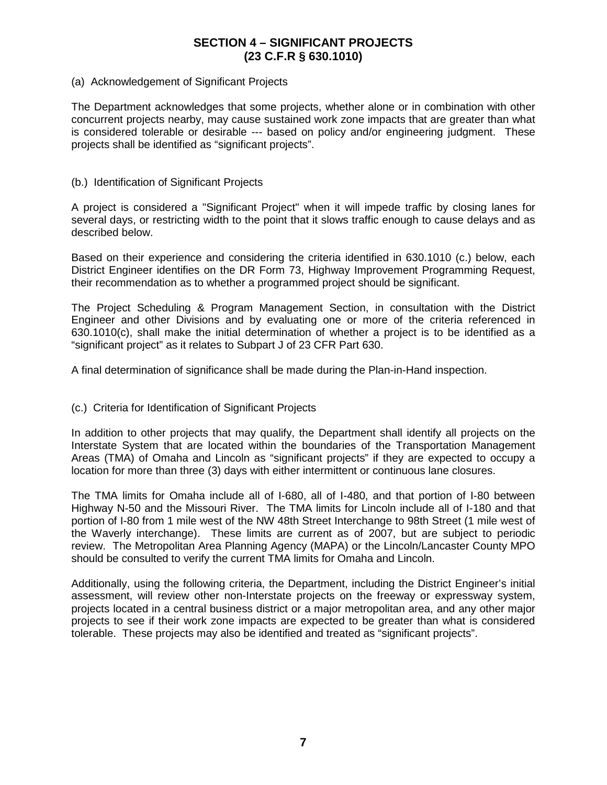## **SECTION 4 – SIGNIFICANT PROJECTS (23 C.F.R § 630.1010)**

#### (a) Acknowledgement of Significant Projects

The Department acknowledges that some projects, whether alone or in combination with other concurrent projects nearby, may cause sustained work zone impacts that are greater than what is considered tolerable or desirable --- based on policy and/or engineering judgment. These projects shall be identified as "significant projects".

#### (b.) Identification of Significant Projects

A project is considered a "Significant Project" when it will impede traffic by closing lanes for several days, or restricting width to the point that it slows traffic enough to cause delays and as described below.

Based on their experience and considering the criteria identified in 630.1010 (c.) below, each District Engineer identifies on the DR Form 73, Highway Improvement Programming Request, their recommendation as to whether a programmed project should be significant.

The Project Scheduling & Program Management Section, in consultation with the District Engineer and other Divisions and by evaluating one or more of the criteria referenced in 630.1010(c), shall make the initial determination of whether a project is to be identified as a "significant project" as it relates to Subpart J of 23 CFR Part 630.

A final determination of significance shall be made during the Plan-in-Hand inspection.

#### (c.) Criteria for Identification of Significant Projects

In addition to other projects that may qualify, the Department shall identify all projects on the Interstate System that are located within the boundaries of the Transportation Management Areas (TMA) of Omaha and Lincoln as "significant projects" if they are expected to occupy a location for more than three (3) days with either intermittent or continuous lane closures.

The TMA limits for Omaha include all of I-680, all of I-480, and that portion of I-80 between Highway N-50 and the Missouri River. The TMA limits for Lincoln include all of I-180 and that portion of I-80 from 1 mile west of the NW 48th Street Interchange to 98th Street (1 mile west of the Waverly interchange). These limits are current as of 2007, but are subject to periodic review. The Metropolitan Area Planning Agency (MAPA) or the Lincoln/Lancaster County MPO should be consulted to verify the current TMA limits for Omaha and Lincoln.

Additionally, using the following criteria, the Department, including the District Engineer's initial assessment, will review other non-Interstate projects on the freeway or expressway system, projects located in a central business district or a major metropolitan area, and any other major projects to see if their work zone impacts are expected to be greater than what is considered tolerable. These projects may also be identified and treated as "significant projects".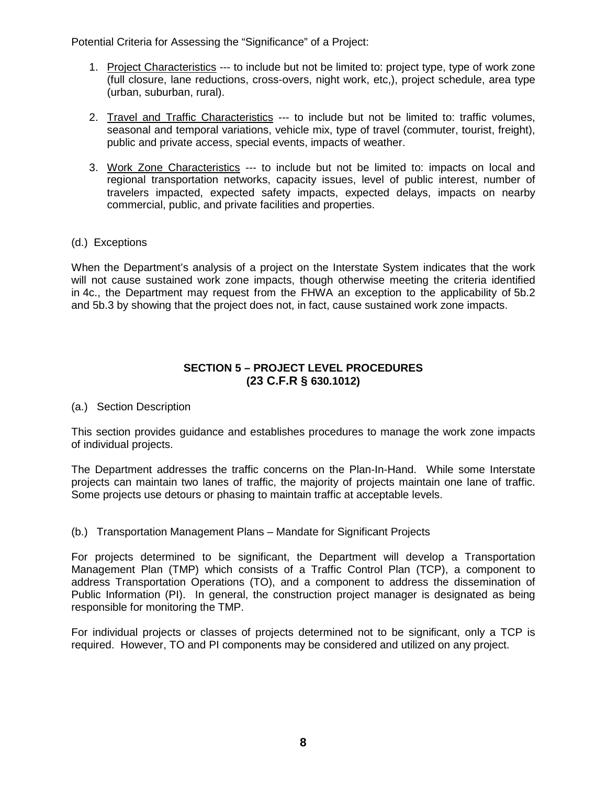Potential Criteria for Assessing the "Significance" of a Project:

- 1. Project Characteristics --- to include but not be limited to: project type, type of work zone (full closure, lane reductions, cross-overs, night work, etc,), project schedule, area type (urban, suburban, rural).
- 2. Travel and Traffic Characteristics --- to include but not be limited to: traffic volumes, seasonal and temporal variations, vehicle mix, type of travel (commuter, tourist, freight), public and private access, special events, impacts of weather.
- 3. Work Zone Characteristics --- to include but not be limited to: impacts on local and regional transportation networks, capacity issues, level of public interest, number of travelers impacted, expected safety impacts, expected delays, impacts on nearby commercial, public, and private facilities and properties.
- (d.) Exceptions

When the Department's analysis of a project on the Interstate System indicates that the work will not cause sustained work zone impacts, though otherwise meeting the criteria identified in 4c., the Department may request from the FHWA an exception to the applicability of 5b.2 and 5b.3 by showing that the project does not, in fact, cause sustained work zone impacts.

## **SECTION 5 – PROJECT LEVEL PROCEDURES (23 C.F.R § 630.1012)**

(a.) Section Description

This section provides guidance and establishes procedures to manage the work zone impacts of individual projects.

The Department addresses the traffic concerns on the Plan-In-Hand. While some Interstate projects can maintain two lanes of traffic, the majority of projects maintain one lane of traffic. Some projects use detours or phasing to maintain traffic at acceptable levels.

(b.) Transportation Management Plans – Mandate for Significant Projects

For projects determined to be significant, the Department will develop a Transportation Management Plan (TMP) which consists of a Traffic Control Plan (TCP), a component to address Transportation Operations (TO), and a component to address the dissemination of Public Information (PI). In general, the construction project manager is designated as being responsible for monitoring the TMP.

For individual projects or classes of projects determined not to be significant, only a TCP is required. However, TO and PI components may be considered and utilized on any project.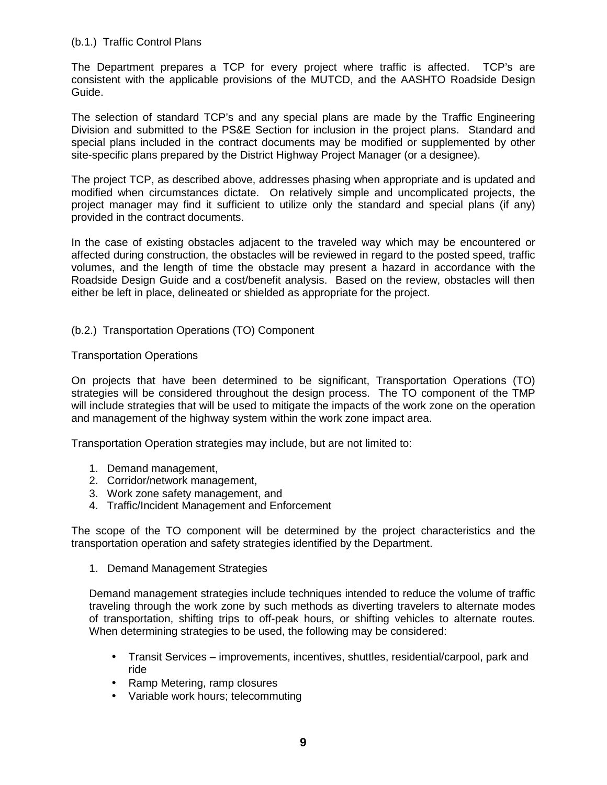#### (b.1.) Traffic Control Plans

The Department prepares a TCP for every project where traffic is affected. TCP's are consistent with the applicable provisions of the MUTCD, and the AASHTO Roadside Design Guide.

The selection of standard TCP's and any special plans are made by the Traffic Engineering Division and submitted to the PS&E Section for inclusion in the project plans. Standard and special plans included in the contract documents may be modified or supplemented by other site-specific plans prepared by the District Highway Project Manager (or a designee).

The project TCP, as described above, addresses phasing when appropriate and is updated and modified when circumstances dictate. On relatively simple and uncomplicated projects, the project manager may find it sufficient to utilize only the standard and special plans (if any) provided in the contract documents.

In the case of existing obstacles adjacent to the traveled way which may be encountered or affected during construction, the obstacles will be reviewed in regard to the posted speed, traffic volumes, and the length of time the obstacle may present a hazard in accordance with the Roadside Design Guide and a cost/benefit analysis. Based on the review, obstacles will then either be left in place, delineated or shielded as appropriate for the project.

#### (b.2.) Transportation Operations (TO) Component

#### Transportation Operations

On projects that have been determined to be significant, Transportation Operations (TO) strategies will be considered throughout the design process. The TO component of the TMP will include strategies that will be used to mitigate the impacts of the work zone on the operation and management of the highway system within the work zone impact area.

Transportation Operation strategies may include, but are not limited to:

- 1. Demand management,
- 2. Corridor/network management,
- 3. Work zone safety management, and
- 4. Traffic/Incident Management and Enforcement

The scope of the TO component will be determined by the project characteristics and the transportation operation and safety strategies identified by the Department.

1. Demand Management Strategies

Demand management strategies include techniques intended to reduce the volume of traffic traveling through the work zone by such methods as diverting travelers to alternate modes of transportation, shifting trips to off-peak hours, or shifting vehicles to alternate routes. When determining strategies to be used, the following may be considered:

- Transit Services improvements, incentives, shuttles, residential/carpool, park and ride
- Ramp Metering, ramp closures
- Variable work hours; telecommuting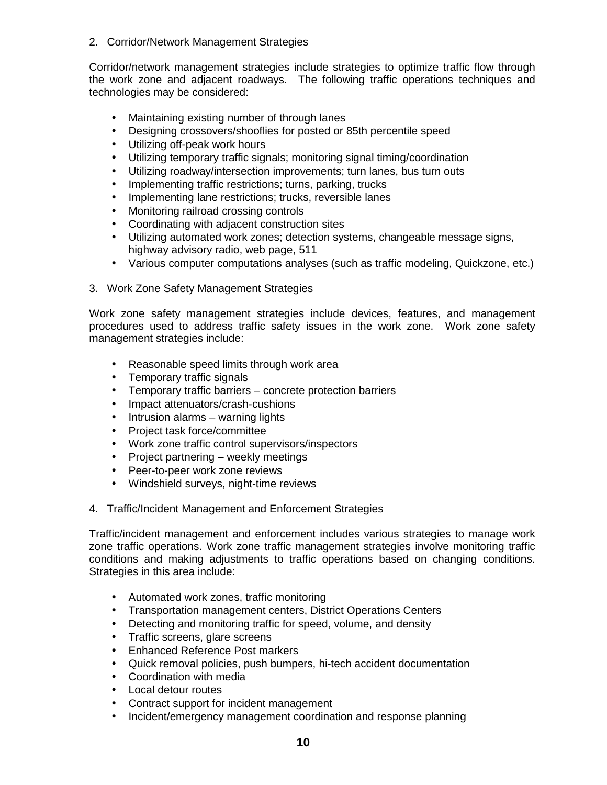2. Corridor/Network Management Strategies

Corridor/network management strategies include strategies to optimize traffic flow through the work zone and adjacent roadways. The following traffic operations techniques and technologies may be considered:

- Maintaining existing number of through lanes
- Designing crossovers/shooflies for posted or 85th percentile speed
- Utilizing off-peak work hours
- Utilizing temporary traffic signals; monitoring signal timing/coordination
- Utilizing roadway/intersection improvements; turn lanes, bus turn outs
- Implementing traffic restrictions; turns, parking, trucks
- Implementing lane restrictions; trucks, reversible lanes
- Monitoring railroad crossing controls
- Coordinating with adjacent construction sites
- Utilizing automated work zones; detection systems, changeable message signs, highway advisory radio, web page, 511
- Various computer computations analyses (such as traffic modeling, Quickzone, etc.)
- 3. Work Zone Safety Management Strategies

Work zone safety management strategies include devices, features, and management procedures used to address traffic safety issues in the work zone. Work zone safety management strategies include:

- Reasonable speed limits through work area
- Temporary traffic signals
- Temporary traffic barriers concrete protection barriers
- Impact attenuators/crash-cushions
- Intrusion alarms warning lights
- Project task force/committee
- Work zone traffic control supervisors/inspectors
- Project partnering weekly meetings
- Peer-to-peer work zone reviews
- Windshield surveys, night-time reviews
- 4. Traffic/Incident Management and Enforcement Strategies

Traffic/incident management and enforcement includes various strategies to manage work zone traffic operations. Work zone traffic management strategies involve monitoring traffic conditions and making adjustments to traffic operations based on changing conditions. Strategies in this area include:

- Automated work zones, traffic monitoring
- Transportation management centers, District Operations Centers
- Detecting and monitoring traffic for speed, volume, and density
- Traffic screens, glare screens
- Enhanced Reference Post markers
- Quick removal policies, push bumpers, hi-tech accident documentation
- Coordination with media
- Local detour routes
- Contract support for incident management
- Incident/emergency management coordination and response planning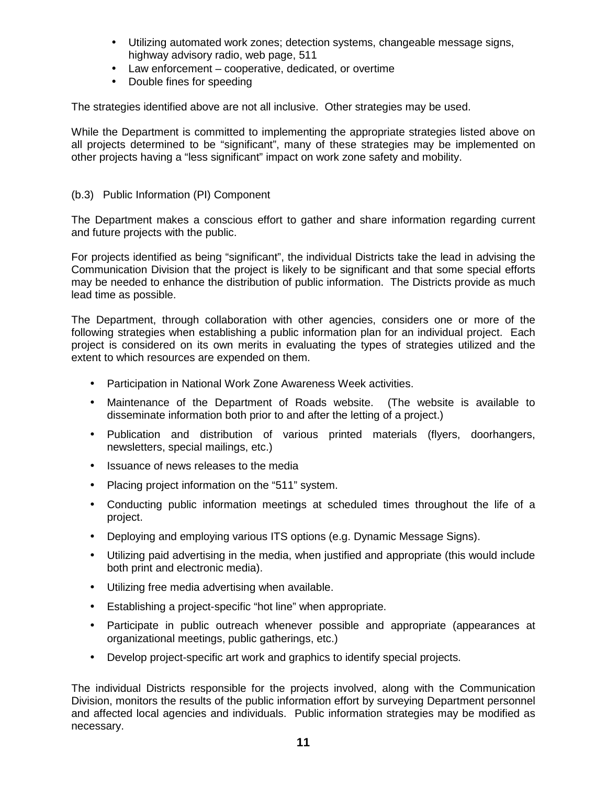- Utilizing automated work zones; detection systems, changeable message signs, highway advisory radio, web page, 511
- Law enforcement cooperative, dedicated, or overtime
- Double fines for speeding

The strategies identified above are not all inclusive. Other strategies may be used.

While the Department is committed to implementing the appropriate strategies listed above on all projects determined to be "significant", many of these strategies may be implemented on other projects having a "less significant" impact on work zone safety and mobility.

#### (b.3) Public Information (PI) Component

The Department makes a conscious effort to gather and share information regarding current and future projects with the public.

For projects identified as being "significant", the individual Districts take the lead in advising the Communication Division that the project is likely to be significant and that some special efforts may be needed to enhance the distribution of public information. The Districts provide as much lead time as possible.

The Department, through collaboration with other agencies, considers one or more of the following strategies when establishing a public information plan for an individual project. Each project is considered on its own merits in evaluating the types of strategies utilized and the extent to which resources are expended on them.

- Participation in National Work Zone Awareness Week activities.
- Maintenance of the Department of Roads website. (The website is available to disseminate information both prior to and after the letting of a project.)
- Publication and distribution of various printed materials (flyers, doorhangers, newsletters, special mailings, etc.)
- Issuance of news releases to the media
- Placing project information on the "511" system.
- Conducting public information meetings at scheduled times throughout the life of a project.
- Deploying and employing various ITS options (e.g. Dynamic Message Signs).
- Utilizing paid advertising in the media, when justified and appropriate (this would include both print and electronic media).
- Utilizing free media advertising when available.
- Establishing a project-specific "hot line" when appropriate.
- Participate in public outreach whenever possible and appropriate (appearances at organizational meetings, public gatherings, etc.)
- Develop project-specific art work and graphics to identify special projects.

The individual Districts responsible for the projects involved, along with the Communication Division, monitors the results of the public information effort by surveying Department personnel and affected local agencies and individuals. Public information strategies may be modified as necessary.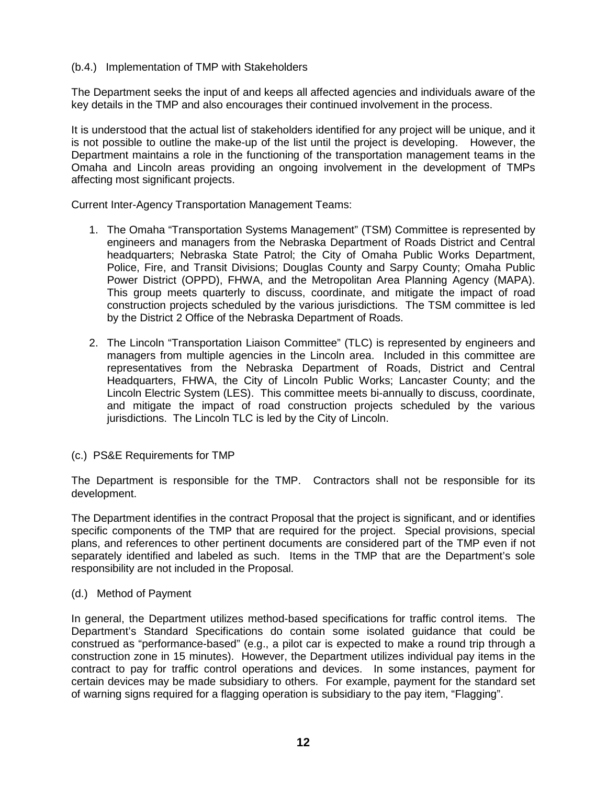#### (b.4.) Implementation of TMP with Stakeholders

The Department seeks the input of and keeps all affected agencies and individuals aware of the key details in the TMP and also encourages their continued involvement in the process.

It is understood that the actual list of stakeholders identified for any project will be unique, and it is not possible to outline the make-up of the list until the project is developing. However, the Department maintains a role in the functioning of the transportation management teams in the Omaha and Lincoln areas providing an ongoing involvement in the development of TMPs affecting most significant projects.

Current Inter-Agency Transportation Management Teams:

- 1. The Omaha "Transportation Systems Management" (TSM) Committee is represented by engineers and managers from the Nebraska Department of Roads District and Central headquarters; Nebraska State Patrol; the City of Omaha Public Works Department, Police, Fire, and Transit Divisions; Douglas County and Sarpy County; Omaha Public Power District (OPPD), FHWA, and the Metropolitan Area Planning Agency (MAPA). This group meets quarterly to discuss, coordinate, and mitigate the impact of road construction projects scheduled by the various jurisdictions. The TSM committee is led by the District 2 Office of the Nebraska Department of Roads.
- 2. The Lincoln "Transportation Liaison Committee" (TLC) is represented by engineers and managers from multiple agencies in the Lincoln area. Included in this committee are representatives from the Nebraska Department of Roads, District and Central Headquarters, FHWA, the City of Lincoln Public Works; Lancaster County; and the Lincoln Electric System (LES). This committee meets bi-annually to discuss, coordinate, and mitigate the impact of road construction projects scheduled by the various jurisdictions. The Lincoln TLC is led by the City of Lincoln.
- (c.) PS&E Requirements for TMP

The Department is responsible for the TMP. Contractors shall not be responsible for its development.

The Department identifies in the contract Proposal that the project is significant, and or identifies specific components of the TMP that are required for the project. Special provisions, special plans, and references to other pertinent documents are considered part of the TMP even if not separately identified and labeled as such. Items in the TMP that are the Department's sole responsibility are not included in the Proposal.

(d.) Method of Payment

In general, the Department utilizes method-based specifications for traffic control items. The Department's Standard Specifications do contain some isolated guidance that could be construed as "performance-based" (e.g., a pilot car is expected to make a round trip through a construction zone in 15 minutes). However, the Department utilizes individual pay items in the contract to pay for traffic control operations and devices. In some instances, payment for certain devices may be made subsidiary to others. For example, payment for the standard set of warning signs required for a flagging operation is subsidiary to the pay item, "Flagging".